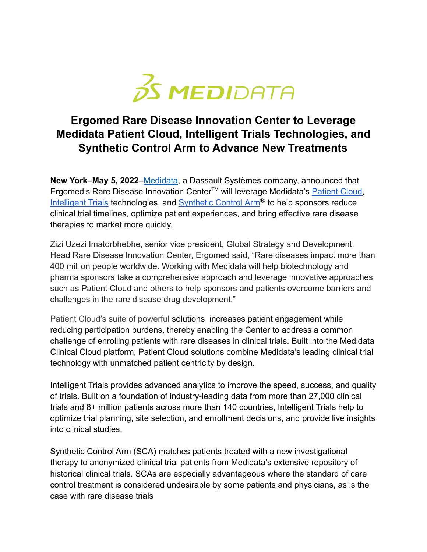

## **Ergomed Rare Disease Innovation Center to Leverage Medidata Patient Cloud, Intelligent Trials Technologies, and Synthetic Control Arm to Advance New Treatments**

**New York–May 5, 2022–**[Medidata](https://www.medidata.com/en/), a Dassault Systèmes company, announced that Ergomed's Rare Disease Innovation Center<sup>™</sup> will leverage Medidata's [Patient Cloud,](https://www.medidata.com/en/clinical-trial-products/patient-centric-clinical-trials) [Intelligent Trials](https://www.medidata.com/en/clinical-trial-products/acorn-ai/clinical-trial-analytics) technologies, and  $Synthetic Control Arm<sup>®</sup>$  $Synthetic Control Arm<sup>®</sup>$  to help sponsors reduce clinical trial timelines, optimize patient experiences, and bring effective rare disease therapies to market more quickly.

Zizi Uzezi Imatorbhebhe, senior vice president, Global Strategy and Development, Head Rare Disease Innovation Center, Ergomed said, "Rare diseases impact more than 400 million people worldwide. Working with Medidata will help biotechnology and pharma sponsors take a comprehensive approach and leverage innovative approaches such as Patient Cloud and others to help sponsors and patients overcome barriers and challenges in the rare disease drug development."

Patient Cloud's suite of powerful solutions increases patient engagement while reducing participation burdens, thereby enabling the Center to address a common challenge of enrolling patients with rare diseases in clinical trials. Built into the Medidata Clinical Cloud platform, Patient Cloud solutions combine Medidata's leading clinical trial technology with unmatched patient centricity by design.

Intelligent Trials provides advanced analytics to improve the speed, success, and quality of trials. Built on a foundation of industry-leading data from more than 27,000 clinical trials and 8+ million patients across more than 140 countries, Intelligent Trials help to optimize trial planning, site selection, and enrollment decisions, and provide live insights into clinical studies.

Synthetic Control Arm (SCA) matches patients treated with a new investigational therapy to anonymized clinical trial patients from Medidata's extensive repository of historical clinical trials. SCAs are especially advantageous where the standard of care control treatment is considered undesirable by some patients and physicians, as is the case with rare disease trials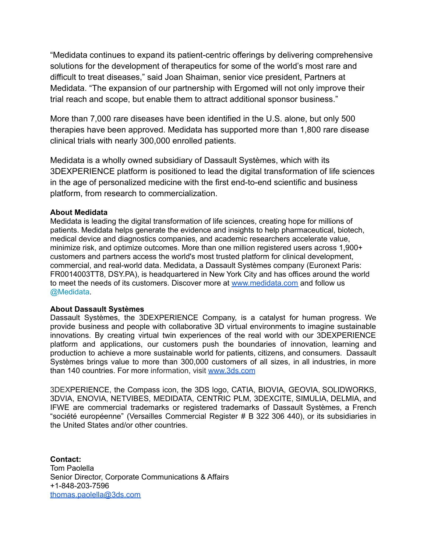"Medidata continues to expand its patient-centric offerings by delivering comprehensive solutions for the development of therapeutics for some of the world's most rare and difficult to treat diseases," said Joan Shaiman, senior vice president, Partners at Medidata. "The expansion of our partnership with Ergomed will not only improve their trial reach and scope, but enable them to attract additional sponsor business."

More than 7,000 rare diseases have been identified in the U.S. alone, but only 500 therapies have been approved. Medidata has supported more than 1,800 rare disease clinical trials with nearly 300,000 enrolled patients.

Medidata is a wholly owned subsidiary of Dassault Systèmes, which with its 3DEXPERIENCE platform is positioned to lead the digital transformation of life sciences in the age of personalized medicine with the first end-to-end scientific and business platform, from research to commercialization.

## **About Medidata**

Medidata is leading the digital transformation of life sciences, creating hope for millions of patients. Medidata helps generate the evidence and insights to help pharmaceutical, biotech, medical device and diagnostics companies, and academic researchers accelerate value, minimize risk, and optimize outcomes. More than one million registered users across 1,900+ customers and partners access the world's most trusted platform for clinical development, commercial, and real-world data. Medidata, a Dassault Systèmes company (Euronext Paris: FR0014003TT8, DSY.PA), is headquartered in New York City and has offices around the world to meet the needs of its customers. Discover more at [www.medidata.com](http://www.medidata.com) and follow us [@Medidata](http://twitter.com/Medidata).

## **About Dassault Systèmes**

Dassault Systèmes, the 3DEXPERIENCE Company, is a catalyst for human progress. We provide business and people with collaborative 3D virtual environments to imagine sustainable innovations. By creating virtual twin experiences of the real world with our 3DEXPERIENCE platform and applications, our customers push the boundaries of innovation, learning and production to achieve a more sustainable world for patients, citizens, and consumers. Dassault Systèmes brings value to more than 300,000 customers of all sizes, in all industries, in more than 140 countries. For more information, visit [www.3ds.com](http://www.3ds.com/)

3DEXPERIENCE, the Compass icon, the 3DS logo, CATIA, BIOVIA, GEOVIA, SOLIDWORKS, 3DVIA, ENOVIA, NETVIBES, MEDIDATA, CENTRIC PLM, 3DEXCITE, SIMULIA, DELMIA, and IFWE are commercial trademarks or registered trademarks of Dassault Systèmes, a French "société européenne" (Versailles Commercial Register # B 322 306 440), or its subsidiaries in the United States and/or other countries.

**Contact:** Tom Paolella Senior Director, Corporate Communications & Affairs +1-848-203-7596 [thomas.paolella@3ds.com](mailto:thomas.paolella@3ds.com)